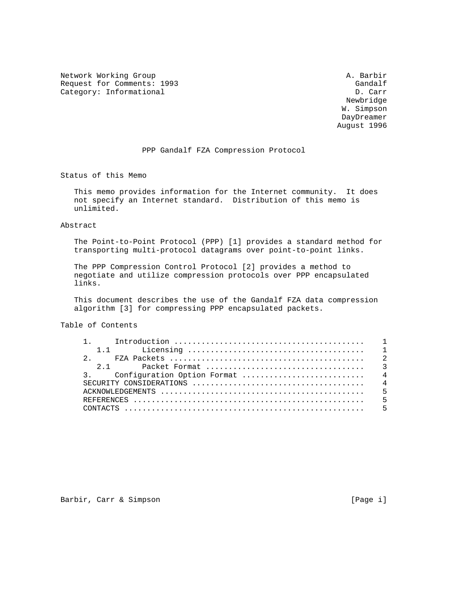Network Working Group and the set of the set of the set of the A. Barbir Request for Comments: 1993<br>Category: Informational Gandalf Category: Informational Category: Informational

 Newbridge W. Simpson DayDreamer August 1996

#### PPP Gandalf FZA Compression Protocol

Status of this Memo

 This memo provides information for the Internet community. It does not specify an Internet standard. Distribution of this memo is unlimited.

### Abstract

 The Point-to-Point Protocol (PPP) [1] provides a standard method for transporting multi-protocol datagrams over point-to-point links.

 The PPP Compression Control Protocol [2] provides a method to negotiate and utilize compression protocols over PPP encapsulated links.

 This document describes the use of the Gandalf FZA data compression algorithm [3] for compressing PPP encapsulated packets.

Table of Contents

| 2.1 |  |
|-----|--|
|     |  |
|     |  |
|     |  |
|     |  |
|     |  |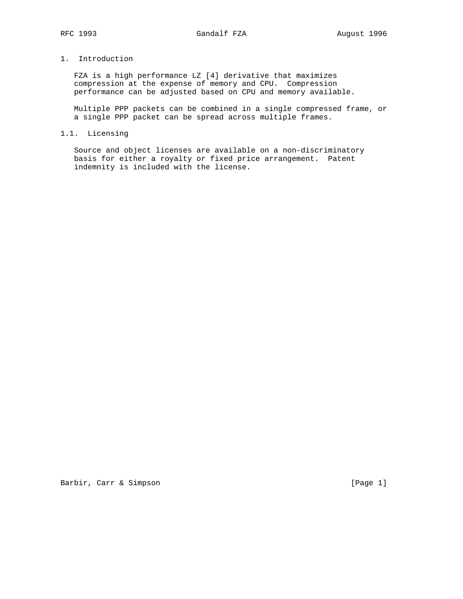# 1. Introduction

 FZA is a high performance LZ [4] derivative that maximizes compression at the expense of memory and CPU. Compression performance can be adjusted based on CPU and memory available.

 Multiple PPP packets can be combined in a single compressed frame, or a single PPP packet can be spread across multiple frames.

## 1.1. Licensing

 Source and object licenses are available on a non-discriminatory basis for either a royalty or fixed price arrangement. Patent indemnity is included with the license.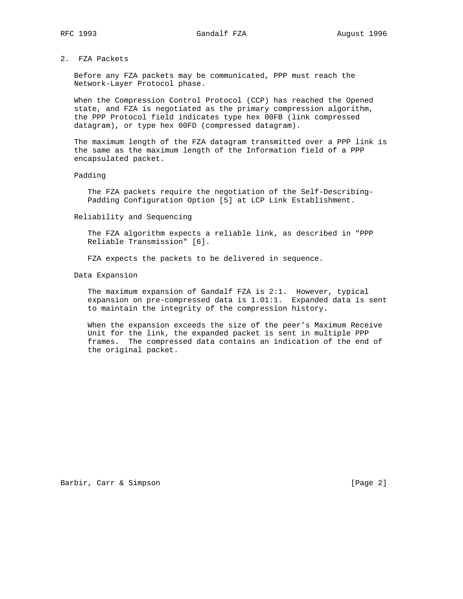# 2. FZA Packets

 Before any FZA packets may be communicated, PPP must reach the Network-Layer Protocol phase.

 When the Compression Control Protocol (CCP) has reached the Opened state, and FZA is negotiated as the primary compression algorithm, the PPP Protocol field indicates type hex 00FB (link compressed datagram), or type hex 00FD (compressed datagram).

 The maximum length of the FZA datagram transmitted over a PPP link is the same as the maximum length of the Information field of a PPP encapsulated packet.

#### Padding

 The FZA packets require the negotiation of the Self-Describing- Padding Configuration Option [5] at LCP Link Establishment.

Reliability and Sequencing

 The FZA algorithm expects a reliable link, as described in "PPP Reliable Transmission" [6].

FZA expects the packets to be delivered in sequence.

Data Expansion

 The maximum expansion of Gandalf FZA is 2:1. However, typical expansion on pre-compressed data is 1.01:1. Expanded data is sent to maintain the integrity of the compression history.

 When the expansion exceeds the size of the peer's Maximum Receive Unit for the link, the expanded packet is sent in multiple PPP frames. The compressed data contains an indication of the end of the original packet.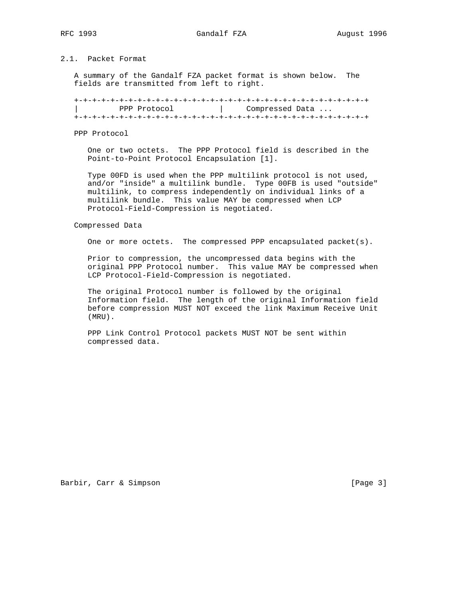# 2.1. Packet Format

 A summary of the Gandalf FZA packet format is shown below. The fields are transmitted from left to right.

 +-+-+-+-+-+-+-+-+-+-+-+-+-+-+-+-+-+-+-+-+-+-+-+-+-+-+-+-+-+-+-+-+ PPP Protocol  $\vert$  Compressed Data ... +-+-+-+-+-+-+-+-+-+-+-+-+-+-+-+-+-+-+-+-+-+-+-+-+-+-+-+-+-+-+-+-+

PPP Protocol

 One or two octets. The PPP Protocol field is described in the Point-to-Point Protocol Encapsulation [1].

 Type 00FD is used when the PPP multilink protocol is not used, and/or "inside" a multilink bundle. Type 00FB is used "outside" multilink, to compress independently on individual links of a multilink bundle. This value MAY be compressed when LCP Protocol-Field-Compression is negotiated.

Compressed Data

One or more octets. The compressed PPP encapsulated packet(s).

 Prior to compression, the uncompressed data begins with the original PPP Protocol number. This value MAY be compressed when LCP Protocol-Field-Compression is negotiated.

 The original Protocol number is followed by the original Information field. The length of the original Information field before compression MUST NOT exceed the link Maximum Receive Unit (MRU).

 PPP Link Control Protocol packets MUST NOT be sent within compressed data.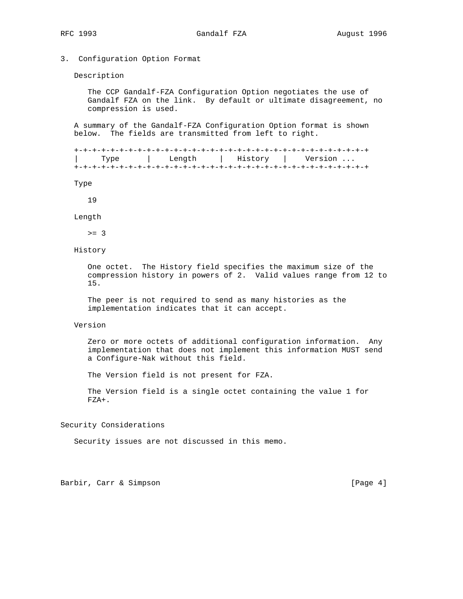## 3. Configuration Option Format

Description

 The CCP Gandalf-FZA Configuration Option negotiates the use of Gandalf FZA on the link. By default or ultimate disagreement, no compression is used.

 A summary of the Gandalf-FZA Configuration Option format is shown below. The fields are transmitted from left to right.

 +-+-+-+-+-+-+-+-+-+-+-+-+-+-+-+-+-+-+-+-+-+-+-+-+-+-+-+-+-+-+-+-+ Length | History | Version ... +-+-+-+-+-+-+-+-+-+-+-+-+-+-+-+-+-+-+-+-+-+-+-+-+-+-+-+-+-+-+-+-+

Type

19

Length

 $>= 3$ 

### History

 One octet. The History field specifies the maximum size of the compression history in powers of 2. Valid values range from 12 to 15.

 The peer is not required to send as many histories as the implementation indicates that it can accept.

#### Version

 Zero or more octets of additional configuration information. Any implementation that does not implement this information MUST send a Configure-Nak without this field.

The Version field is not present for FZA.

 The Version field is a single octet containing the value 1 for FZA+.

#### Security Considerations

Security issues are not discussed in this memo.

Barbir, Carr & Simpson [Page 4]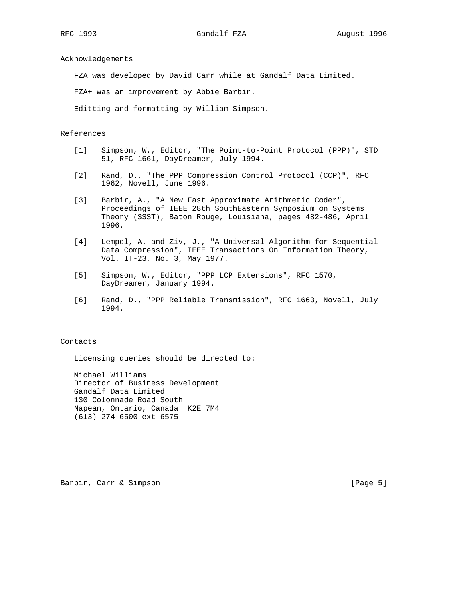Acknowledgements

FZA was developed by David Carr while at Gandalf Data Limited.

FZA+ was an improvement by Abbie Barbir.

Editting and formatting by William Simpson.

## References

- [1] Simpson, W., Editor, "The Point-to-Point Protocol (PPP)", STD 51, RFC 1661, DayDreamer, July 1994.
- [2] Rand, D., "The PPP Compression Control Protocol (CCP)", RFC 1962, Novell, June 1996.
- [3] Barbir, A., "A New Fast Approximate Arithmetic Coder", Proceedings of IEEE 28th SouthEastern Symposium on Systems Theory (SSST), Baton Rouge, Louisiana, pages 482-486, April 1996.
- [4] Lempel, A. and Ziv, J., "A Universal Algorithm for Sequential Data Compression", IEEE Transactions On Information Theory, Vol. IT-23, No. 3, May 1977.
- [5] Simpson, W., Editor, "PPP LCP Extensions", RFC 1570, DayDreamer, January 1994.
- [6] Rand, D., "PPP Reliable Transmission", RFC 1663, Novell, July 1994.

## Contacts

Licensing queries should be directed to:

 Michael Williams Director of Business Development Gandalf Data Limited 130 Colonnade Road South Napean, Ontario, Canada K2E 7M4 (613) 274-6500 ext 6575

Barbir, Carr & Simpson [Page 5]